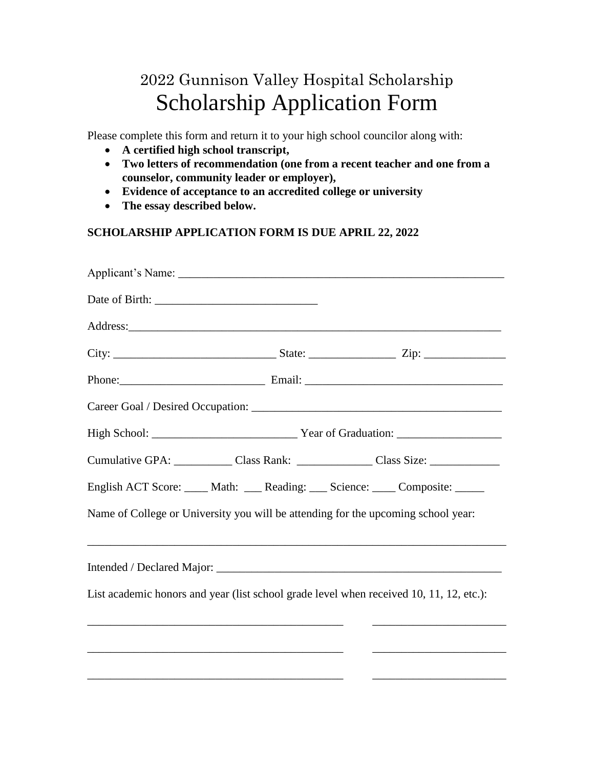## 2022 Gunnison Valley Hospital Scholarship Scholarship Application Form

Please complete this form and return it to your high school councilor along with:

- **A certified high school transcript,**
- **Two letters of recommendation (one from a recent teacher and one from a counselor, community leader or employer),**
- **Evidence of acceptance to an accredited college or university**
- **The essay described below.**

## **SCHOLARSHIP APPLICATION FORM IS DUE APRIL 22, 2022**

| Cumulative GPA: Class Rank: Class Rank: Class Size: Class Size:                         |
|-----------------------------------------------------------------------------------------|
| English ACT Score: _____ Math: ____ Reading: ____ Science: _____ Composite: _____       |
| Name of College or University you will be attending for the upcoming school year:       |
| ,我们也不会有什么。""我们的人,我们也不会有什么?""我们的人,我们也不会有什么?""我们的人,我们也不会有什么?""我们的人,我们也不会有什么?""我们的人        |
| List academic honors and year (list school grade level when received 10, 11, 12, etc.): |
| <u> 1989 - John Stone, Amerikaansk politiker (* 1918)</u>                               |
|                                                                                         |
|                                                                                         |